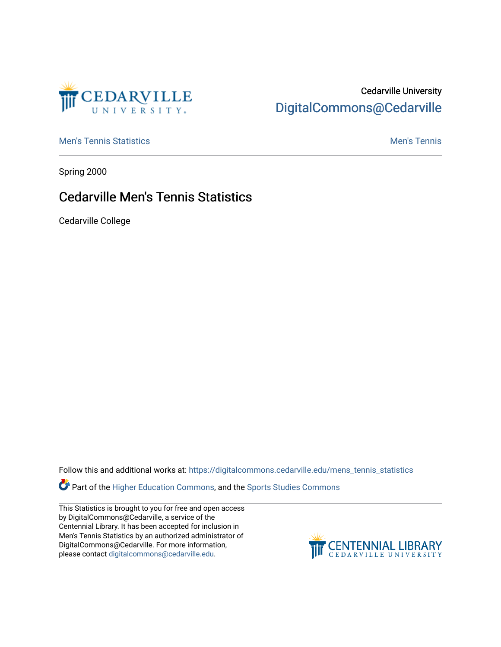

## Cedarville University [DigitalCommons@Cedarville](https://digitalcommons.cedarville.edu/)

**[Men's Tennis Statistics](https://digitalcommons.cedarville.edu/mens_tennis_statistics) Mental According to the Control of Control According Mental Men's Tennis** 

Spring 2000

## Cedarville Men's Tennis Statistics

Cedarville College

Follow this and additional works at: [https://digitalcommons.cedarville.edu/mens\\_tennis\\_statistics](https://digitalcommons.cedarville.edu/mens_tennis_statistics?utm_source=digitalcommons.cedarville.edu%2Fmens_tennis_statistics%2F443&utm_medium=PDF&utm_campaign=PDFCoverPages)

**Part of the [Higher Education Commons,](http://network.bepress.com/hgg/discipline/1245?utm_source=digitalcommons.cedarville.edu%2Fmens_tennis_statistics%2F443&utm_medium=PDF&utm_campaign=PDFCoverPages) and the Sports Studies Commons** 

This Statistics is brought to you for free and open access by DigitalCommons@Cedarville, a service of the Centennial Library. It has been accepted for inclusion in Men's Tennis Statistics by an authorized administrator of DigitalCommons@Cedarville. For more information, please contact [digitalcommons@cedarville.edu](mailto:digitalcommons@cedarville.edu).

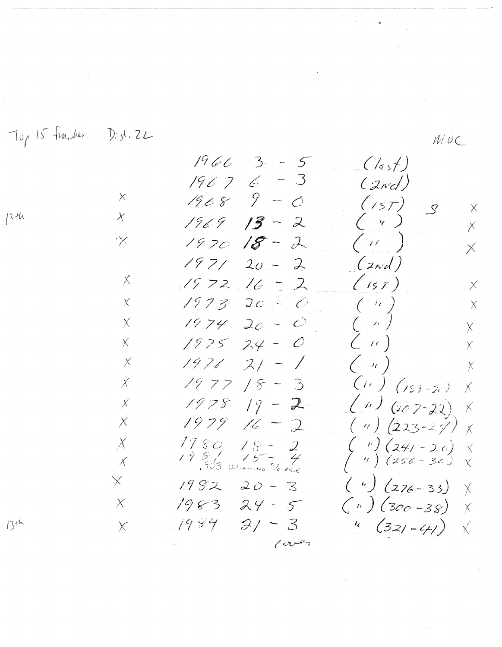Top 15 Function Dist. 22  $MUC$  $1966.3 - 5$  $((\epsilon, \epsilon)$  $\overline{\mathcal{S}}$  $6 -$ 1967  $(z_{nc})$  $9 - 0$  $\mathsf{X}% _{T}=\mathsf{X}_{T}\!\left( a,b\right) ,\ \mathsf{X}_{T}=\mathsf{X}_{T}\!\left( a,b\right) ,$  $1968$  $(157)$  $\overline{S}$  $\times$  $\chi$  $( \gamma \gamma)$  $1969$  $13 - 2$  $\overline{\mathcal{E}}$  $($  i( )  $\propto$  $1970$  $18 \lambda$  $\overline{\mathsf{X}}$  $1971$  $(z_{\alpha d})$  $20 2$  $1972$  16 =  $\times$  $(15T)$  $\mathcal{Z}$  $\times$  $($   $\langle \cdot \rangle$  $\bar{\chi}$  $1973$  $20 - 0$  $\times$  $(-\kappa)^{\top}$ 1974  $20 - C$  $\chi$  $\overline{\chi}$  $\zeta$  (c)  $24 - 0$  $\chi$  $1975$  $\overline{X}$  $\left( \begin{array}{c} n \end{array} \right)$  $2/ - 1$  $\times$  $1976$  $\overline{\chi}$  $(11)$  (188–20)  $1977$  $18 - 3$  $\chi$  $\times$  $(n)$  (207-22) 1978  $19 - 2$  $\times$  $\times$ 1979  $(\sqrt{223}-29)$  $\times$  $16 \overline{2}$  $\chi$  $\frac{1980}{1986}$   $\frac{18}{902}$   $\frac{2}{903}$  $1980$  $\begin{pmatrix} u \\ v \end{pmatrix} \begin{pmatrix} 24/ - 2.6 \\ 256 - 36 \end{pmatrix}$  $\chi$  $\boldsymbol{\times}$  $\chi$  $\bar{\chi}$  $(4) (276 - 33)$  $\times$  $1982$  $20 - 3$  $\chi$  $\binom{n}{k}$  (300 –38)  $\times$  $1983$  $24 - 5$  $\overline{X}$  $\frac{1}{2}$  (321-41)  $3/ - 3$  $1984$  $1346$  $\times$  $\chi$  $\omega$ er

 $1244$